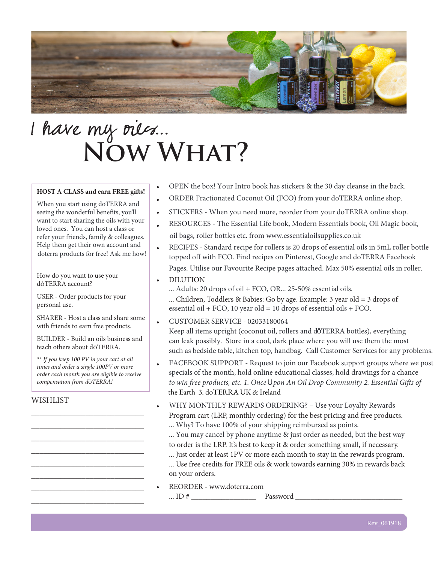

# I have my oues... **Now What?**

#### **HOST A CLASS and earn FREE gifts!**

When you start using doTERRA and seeing the wonderful benefits, you'll want to start sharing the oils with your loved ones. You can host a class or refer your friends, family & colleagues. Help them get their own account and doterra products for free! Ask me how!

How do you want to use your dōTERRA account?

USER - Order products for your personal use.

SHARER - Host a class and share some with friends to earn free products.

BUILDER - Build an oils business and teach others about dōTERRA.

*\*\* If you keep 100 PV in your cart at all times and order a single 100PV or more order each month you are eligible to receive compensation from d*ō*TERRA!*

\_\_\_\_\_\_\_\_\_\_\_\_\_\_\_\_\_\_\_\_\_\_\_\_\_\_\_ \_\_\_\_\_\_\_\_\_\_\_\_\_\_\_\_\_\_\_\_\_\_\_\_\_\_\_ \_\_\_\_\_\_\_\_\_\_\_\_\_\_\_\_\_\_\_\_\_\_\_\_\_\_\_ \_\_\_\_\_\_\_\_\_\_\_\_\_\_\_\_\_\_\_\_\_\_\_\_\_\_\_ \_\_\_\_\_\_\_\_\_\_\_\_\_\_\_\_\_\_\_\_\_\_\_\_\_\_\_ \_\_\_\_\_\_\_\_\_\_\_\_\_\_\_\_\_\_\_\_\_\_\_\_\_\_\_ \_\_\_\_\_\_\_\_\_\_\_\_\_\_\_\_\_\_\_\_\_\_\_\_\_\_\_ \_\_\_\_\_\_\_\_\_\_\_\_\_\_\_\_\_\_\_\_\_\_\_\_\_\_\_

#### **WISHLIST**

- OPEN the box! Your Intro book has stickers & the 30 day cleanse in the back.
- ORDER Fractionated Coconut Oil (FCO) from your doTERRA online shop.
- STICKERS - When you need more, reorder from your doTERRA online shop.
- RESOURCES - The Essential Life book, Modern Essentials book, Oil Magic book, oil bags, roller bottles etc. from www.essentialoilsupplies.co.uk
- RECIPES - Standard recipe for rollers is 20 drops of essential oils in 5mL roller bottle topped off with FCO. Find recipes on Pinterest, Google and doTERRA Facebook Pages. Utilise our Favourite Recipe pages attached. Max 50% essential oils in roller.
- DILUTION
	- ... Children, Toddlers & Babies: Go by age. Example: 3 year old = 3 drops of ... Adults: 20 drops of oil + FCO, OR... 25-50% essential oils. essential oil + FCO, 10 year old = 10 drops of essential oils + FCO.
- CUSTOMER SERVICE - 02033180064 Keep all items upright (coconut oil, rollers and dōTERRA bottles), everything can leak possibly. Store in a cool, dark place where you will use them the most such as bedside table, kitchen top, handbag. Call Customer Services for any problems.
- the Earth 3. doTERRA UK & Ireland FACEBOOK SUPPORT - Request to join our Facebook support groups where we post *to win free products, etc. 1. Once* U*pon An Oil Drop Community 2. Essential Gifts of* specials of the month, hold online educational classes, hold drawings for a chance
- Program cart (LRP, monthly ordering) for the best pricing and free products. ... Why? To have 100% of your shipping reimbursed as points. WHY MONTHLY REWARDS ORDERING? – Use your Loyalty Rewards
	- to order is the LRP. It's best to keep it & order something small, if necessary. ... You may cancel by phone anytime & just order as needed, but the best way
	- ... Just order at least 1PV or more each month to stay in the rewards program. ... Use free credits for FREE oils & work towards earning 30% in rewards back on your orders.
- REORDER www.doterra.com ... ID  $\#$  Password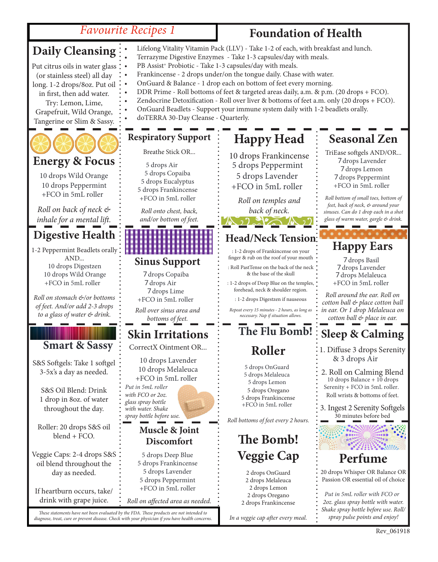## *Favourite Recipes 1*

## **Foundation of Health**

| <b>Favourite Recipes 1</b>                                                                                                                                                                                                           |                                                                                                                                                                                                                                                                                                                                                                                                                                                                                                                                                                                                                                                                                         | <b>Foundation of Health</b>                                                                                                                                                                     |                                                                                                                                                                                      |
|--------------------------------------------------------------------------------------------------------------------------------------------------------------------------------------------------------------------------------------|-----------------------------------------------------------------------------------------------------------------------------------------------------------------------------------------------------------------------------------------------------------------------------------------------------------------------------------------------------------------------------------------------------------------------------------------------------------------------------------------------------------------------------------------------------------------------------------------------------------------------------------------------------------------------------------------|-------------------------------------------------------------------------------------------------------------------------------------------------------------------------------------------------|--------------------------------------------------------------------------------------------------------------------------------------------------------------------------------------|
| <b>Daily Cleansing</b><br>Put citrus oils in water glass<br>(or stainless steel) all day<br>long. 1-2 drops/8oz. Put oil<br>in first, then add water.<br>Try: Lemon, Lime,<br>Grapefruit, Wild Orange,<br>Tangerine or Slim & Sassy. | Lifelong Vitality Vitamin Pack (LLV) - Take 1-2 of each, with breakfast and lunch.<br>Terrazyme Digestive Enzymes - Take 1-3 capsules/day with meals.<br>PB Assist <sup>+</sup> Probiotic - Take 1-3 capsules/day with meals.<br>Frankincense - 2 drops under/on the tongue daily. Chase with water.<br>OnGuard & Balance - 1 drop each on bottom of feet every morning.<br>DDR Prime - Roll bottoms of feet & targeted areas daily, a.m. & p.m. (20 drops + FCO).<br>Zendocrine Detoxification - Roll over liver & bottoms of feet a.m. only (20 drops + FCO).<br>OnGuard Beadlets - Support your immune system daily with 1-2 beadlets orally.<br>doTERRA 30-Day Cleanse - Quarterly. |                                                                                                                                                                                                 |                                                                                                                                                                                      |
|                                                                                                                                                                                                                                      | <b>Respiratory Support</b>                                                                                                                                                                                                                                                                                                                                                                                                                                                                                                                                                                                                                                                              | <b>Happy Head</b>                                                                                                                                                                               | <b>Seasonal Zen</b>                                                                                                                                                                  |
| <b>Energy &amp; Focus</b><br>10 drops Wild Orange<br>10 drops Peppermint<br>+FCO in 5mL roller                                                                                                                                       | Breathe Stick OR<br>5 drops Air<br>5 drops Copaiba<br>5 drops Eucalyptus<br>5 drops Frankincense                                                                                                                                                                                                                                                                                                                                                                                                                                                                                                                                                                                        | 10 drops Frankincense<br>5 drops Peppermint<br>5 drops Lavender<br>+FCO in 5mL roller                                                                                                           | TriEase softgels AND/OR<br>7 drops Lavender<br>7 drops Lemon<br>7 drops Peppermint<br>+FCO in 5mL roller                                                                             |
| Roll on back of neck &<br>inhale for a mental lift.                                                                                                                                                                                  | +FCO in 5mL roller<br>Roll onto chest, back,<br>and/or bottom of feet.                                                                                                                                                                                                                                                                                                                                                                                                                                                                                                                                                                                                                  | Roll on temples and<br>back of neck.<br>$\mathcal{N}$ ) and $\mathcal{N}$                                                                                                                       | Roll bottom of small toes, bottom of<br>feet, back of neck, & around your<br>sinuses. Can do 1 drop each in a shot<br>glass of warm water, gargle & drink.                           |
| Digestive Health $\vdots$                                                                                                                                                                                                            |                                                                                                                                                                                                                                                                                                                                                                                                                                                                                                                                                                                                                                                                                         | <b>Head/Neck Tension</b>                                                                                                                                                                        |                                                                                                                                                                                      |
| 1-2 Peppermint Beadlets orally                                                                                                                                                                                                       |                                                                                                                                                                                                                                                                                                                                                                                                                                                                                                                                                                                                                                                                                         | : 1-2 drops of Frankincense on your                                                                                                                                                             | <b>Happy Ears</b>                                                                                                                                                                    |
| AND<br>10 drops Digestzen<br>10 drops Wild Orange<br>+FCO in 5mL roller                                                                                                                                                              | <b>Sinus Support</b><br>7 drops Copaiba<br>7 drops Air<br>7 drops Lime                                                                                                                                                                                                                                                                                                                                                                                                                                                                                                                                                                                                                  | finger & rub on the roof of your mouth<br>: Roll PastTense on the back of the neck.<br>& the base of the skull<br>: 1-2 drops of Deep Blue on the temples,<br>forehead, neck & shoulder region. | 7 drops Basil<br>7 drops Lavender<br>7 drops Melaleuca<br>+FCO in 5mL roller                                                                                                         |
| Roll on stomach &/or bottoms<br>of feet. And/or add 2-3 drops<br>to a glass of water & drink.                                                                                                                                        | +FCO in 5mL roller<br>Roll over sinus area and<br>bottoms of feet.                                                                                                                                                                                                                                                                                                                                                                                                                                                                                                                                                                                                                      | : 1-2 drops Digestzen if nauseous<br>Repeat every 15 minutes - 2 hours, as long as<br>necessary. Nap if situation allows.                                                                       | Roll around the ear. Roll on<br>cotton ball & place cotton ball<br>in ear. Or 1 drop Melaleuca on<br>cotton ball & place in ear.                                                     |
|                                                                                                                                                                                                                                      | <b>Skin Irritations</b>                                                                                                                                                                                                                                                                                                                                                                                                                                                                                                                                                                                                                                                                 | The Flu Bomb!                                                                                                                                                                                   | <b>Sleep &amp; Calming</b>                                                                                                                                                           |
| <b>Smart &amp; Sassy</b><br>S&S Softgels: Take 1 softgel                                                                                                                                                                             | CorrectX Ointment OR<br>10 drops Lavender                                                                                                                                                                                                                                                                                                                                                                                                                                                                                                                                                                                                                                               | Roller                                                                                                                                                                                          | 1. Diffuse 3 drops Serenity<br>& 3 drops Air                                                                                                                                         |
| 3-5x's a day as needed.<br>S&S Oil Blend: Drink<br>1 drop in 8oz. of water<br>throughout the day.                                                                                                                                    | 10 drops Melaleuca<br>+FCO in 5mL roller<br>Put in 5mL roller<br>with FCO or 2oz.<br>glass spray bottle<br>with water. Shake<br>spray bottle before use.                                                                                                                                                                                                                                                                                                                                                                                                                                                                                                                                | 5 drops OnGuard<br>5 drops Melaleuca<br>5 drops Lemon<br>5 drops Oregano<br>5 drops Frankincense<br>+FCO in 5mL roller<br>Roll bottoms of feet every 2 hours.                                   | 2. Roll on Calming Blend<br>10 drops Balance + 10 drops<br>Serenity + FCO in 5mL roller.<br>Roll wrists & bottoms of feet.<br>3. Ingest 2 Serenity Softgels<br>30 minutes before bed |
| Roller: 20 drops S&S oil<br>blend + FCO.                                                                                                                                                                                             | Muscle & Joint<br><b>Discomfort</b>                                                                                                                                                                                                                                                                                                                                                                                                                                                                                                                                                                                                                                                     | The Bomb!                                                                                                                                                                                       |                                                                                                                                                                                      |
| Veggie Caps: 2-4 drops S&S                                                                                                                                                                                                           | 5 drops Deep Blue                                                                                                                                                                                                                                                                                                                                                                                                                                                                                                                                                                                                                                                                       | <b>Veggie Cap</b>                                                                                                                                                                               | Perfume                                                                                                                                                                              |
| oil blend throughout the<br>day as needed.<br>If heartburn occurs, take/                                                                                                                                                             | 5 drops Frankincense<br>5 drops Lavender<br>5 drops Peppermint<br>+FCO in 5mL roller                                                                                                                                                                                                                                                                                                                                                                                                                                                                                                                                                                                                    | 2 drops OnGuard<br>2 drops Melaleuca<br>2 drops Lemon<br>2 drops Oregano                                                                                                                        | 20 drops Whisper OR Balance OR<br>Passion OR essential oil of choice<br>Put in 5mL roller with FCO or                                                                                |
| drink with grape juice.                                                                                                                                                                                                              | Roll on affected area as needed.                                                                                                                                                                                                                                                                                                                                                                                                                                                                                                                                                                                                                                                        | 2 drops Frankincense                                                                                                                                                                            | 2oz. glass spray bottle with water.                                                                                                                                                  |
| These statements have not been evaluated by the FDA. These products are not intended to<br>diagnose, treat, cure or prevent disease. Check with your physician if you have health concerns.                                          |                                                                                                                                                                                                                                                                                                                                                                                                                                                                                                                                                                                                                                                                                         | In a veggie cap after every meal.                                                                                                                                                               | Shake spray bottle before use. Roll/<br>spray pulse points and enjoy!                                                                                                                |